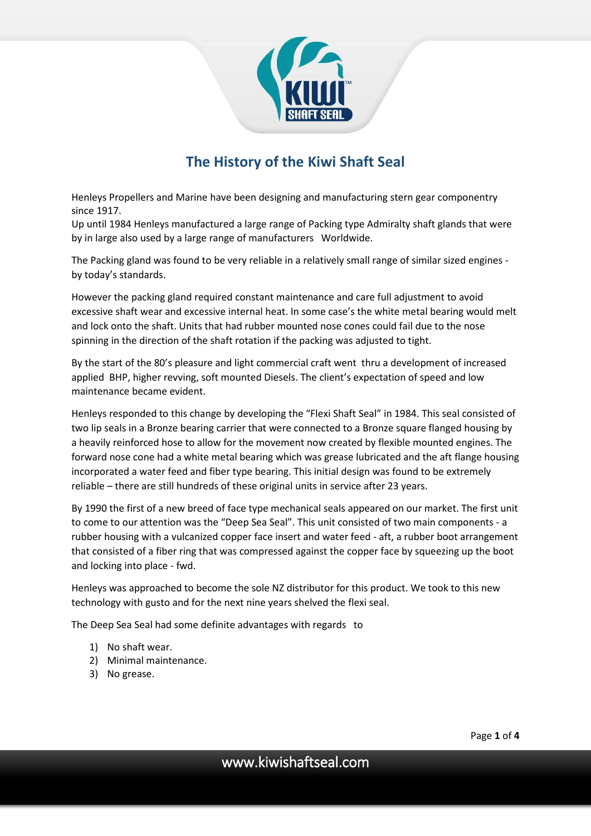

# **The History of the Kiwi Shaft Seal**

Henleys Propellers and Marine have been designing and manufacturing stern gear componentry since 1917.

Up until 1984 Henleys manufactured a large range of Packing type Admiralty shaft glands that were by in large also used by a large range of manufacturers Worldwide.

The Packing gland was found to be very reliable in a relatively small range of similar sized engines by today's standards.

However the packing gland required constant maintenance and care full adjustment to avoid excessive shaft wear and excessive internal heat. In some case's the white metal bearing would melt and lock onto the shaft. Units that had rubber mounted nose cones could fail due to the nose spinning in the direction of the shaft rotation if the packing was adjusted to tight.

By the start of the 80's pleasure and light commercial craft went thru a development of increased applied BHP, higher revving, soft mounted Diesels. The client's expectation of speed and low maintenance became evident.

Henleys responded to this change by developing the "Flexi Shaft Seal" in 1984. This seal consisted of two lip seals in a Bronze bearing carrier that were connected to a Bronze square flanged housing by a heavily reinforced hose to allow for the movement now created by flexible mounted engines. The forward nose cone had a white metal bearing which was grease lubricated and the aft flange housing incorporated a water feed and fiber type bearing. This initial design was found to be extremely reliable – there are still hundreds of these original units in service after 23 years.

By 1990 the first of a new breed of face type mechanical seals appeared on our market. The first unit to come to our attention was the "Deep Sea Seal". This unit consisted of two main components - a rubber housing with a vulcanized copper face insert and water feed - aft, a rubber boot arrangement that consisted of a fiber ring that was compressed against the copper face by squeezing up the boot and locking into place - fwd.

Henleys was approached to become the sole NZ distributor for this product. We took to this new technology with gusto and for the next nine years shelved the flexi seal.

The Deep Sea Seal had some definite advantages with regards to

- 1) No shaft wear.
- 2) Minimal maintenance.
- 3) No grease.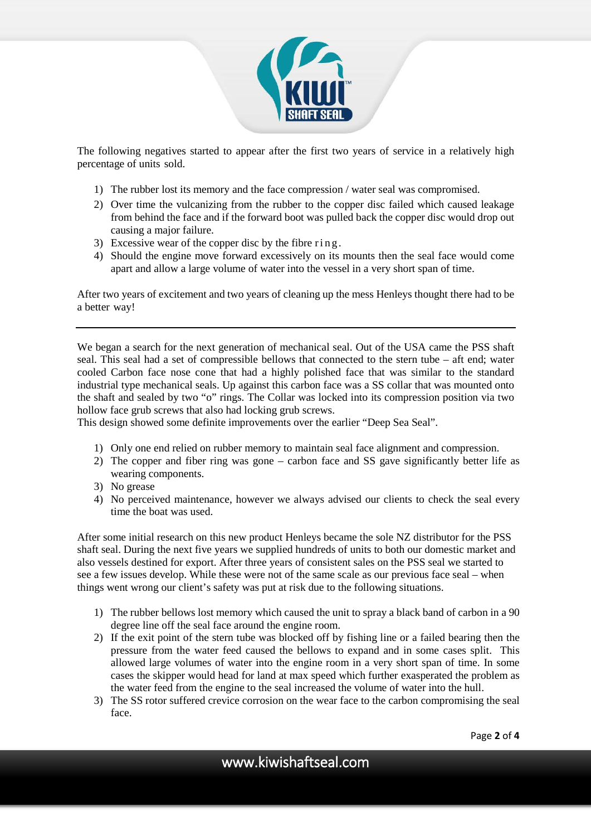

The following negatives started to appear after the first two years of service in a relatively high percentage of units sold.

- 1) The rubber lost its memory and the face compression / water seal was compromised.
- 2) Over time the vulcanizing from the rubber to the copper disc failed which caused leakage from behind the face and if the forward boot was pulled back the copper disc would drop out causing a major failure.
- 3) Excessive wear of the copper disc by the fibre ring .
- 4) Should the engine move forward excessively on its mounts then the seal face would come apart and allow a large volume of water into the vessel in a very short span of time.

After two years of excitement and two years of cleaning up the mess Henleys thought there had to be a better way!

We began a search for the next generation of mechanical seal. Out of the USA came the PSS shaft seal. This seal had a set of compressible bellows that connected to the stern tube – aft end; water cooled Carbon face nose cone that had a highly polished face that was similar to the standard industrial type mechanical seals. Up against this carbon face was a SS collar that was mounted onto the shaft and sealed by two "o" rings. The Collar was locked into its compression position via two hollow face grub screws that also had locking grub screws.

This design showed some definite improvements over the earlier "Deep Sea Seal".

- 1) Only one end relied on rubber memory to maintain seal face alignment and compression.
- 2) The copper and fiber ring was gone carbon face and SS gave significantly better life as wearing components.
- 3) No grease
- 4) No perceived maintenance, however we always advised our clients to check the seal every time the boat was used.

After some initial research on this new product Henleys became the sole NZ distributor for the PSS shaft seal. During the next five years we supplied hundreds of units to both our domestic market and also vessels destined for export. After three years of consistent sales on the PSS seal we started to see a few issues develop. While these were not of the same scale as our previous face seal – when things went wrong our client's safety was put at risk due to the following situations.

- 1) The rubber bellows lost memory which caused the unit to spray a black band of carbon in a 90 degree line off the seal face around the engine room.
- 2) If the exit point of the stern tube was blocked off by fishing line or a failed bearing then the pressure from the water feed caused the bellows to expand and in some cases split. This allowed large volumes of water into the engine room in a very short span of time. In some cases the skipper would head for land at max speed which further exasperated the problem as the water feed from the engine to the seal increased the volume of water into the hull.
- 3) The SS rotor suffered crevice corrosion on the wear face to the carbon compromising the seal face.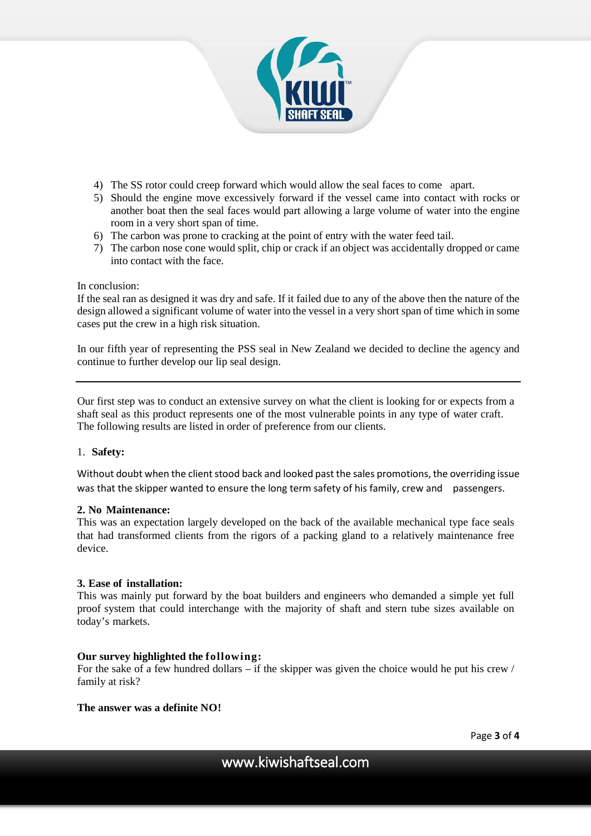

- 4) The SS rotor could creep forward which would allow the seal faces to come apart.
- 5) Should the engine move excessively forward if the vessel came into contact with rocks or another boat then the seal faces would part allowing a large volume of water into the engine room in a very short span of time.
- 6) The carbon was prone to cracking at the point of entry with the water feed tail.
- 7) The carbon nose cone would split, chip or crack if an object was accidentally dropped or came into contact with the face.

### In conclusion:

If the seal ran as designed it was dry and safe. If it failed due to any of the above then the nature of the design allowed a significant volume of water into the vessel in a very short span of time which in some cases put the crew in a high risk situation.

In our fifth year of representing the PSS seal in New Zealand we decided to decline the agency and continue to further develop our lip seal design.

Our first step was to conduct an extensive survey on what the client is looking for or expects from a shaft seal as this product represents one of the most vulnerable points in any type of water craft. The following results are listed in order of preference from our clients.

### 1. **Safety:**

Without doubt when the client stood back and looked past the sales promotions, the overriding issue was that the skipper wanted to ensure the long term safety of his family, crew and passengers.

### **2. No Maintenance:**

This was an expectation largely developed on the back of the available mechanical type face seals that had transformed clients from the rigors of a packing gland to a relatively maintenance free device.

### **3. Ease of installation:**

This was mainly put forward by the boat builders and engineers who demanded a simple yet full proof system that could interchange with the majority of shaft and stern tube sizes available on today's markets.

# **Our survey highlighted the following:**

For the sake of a few hundred dollars – if the skipper was given the choice would he put his crew / family at risk?

# **The answer was a definite NO!**